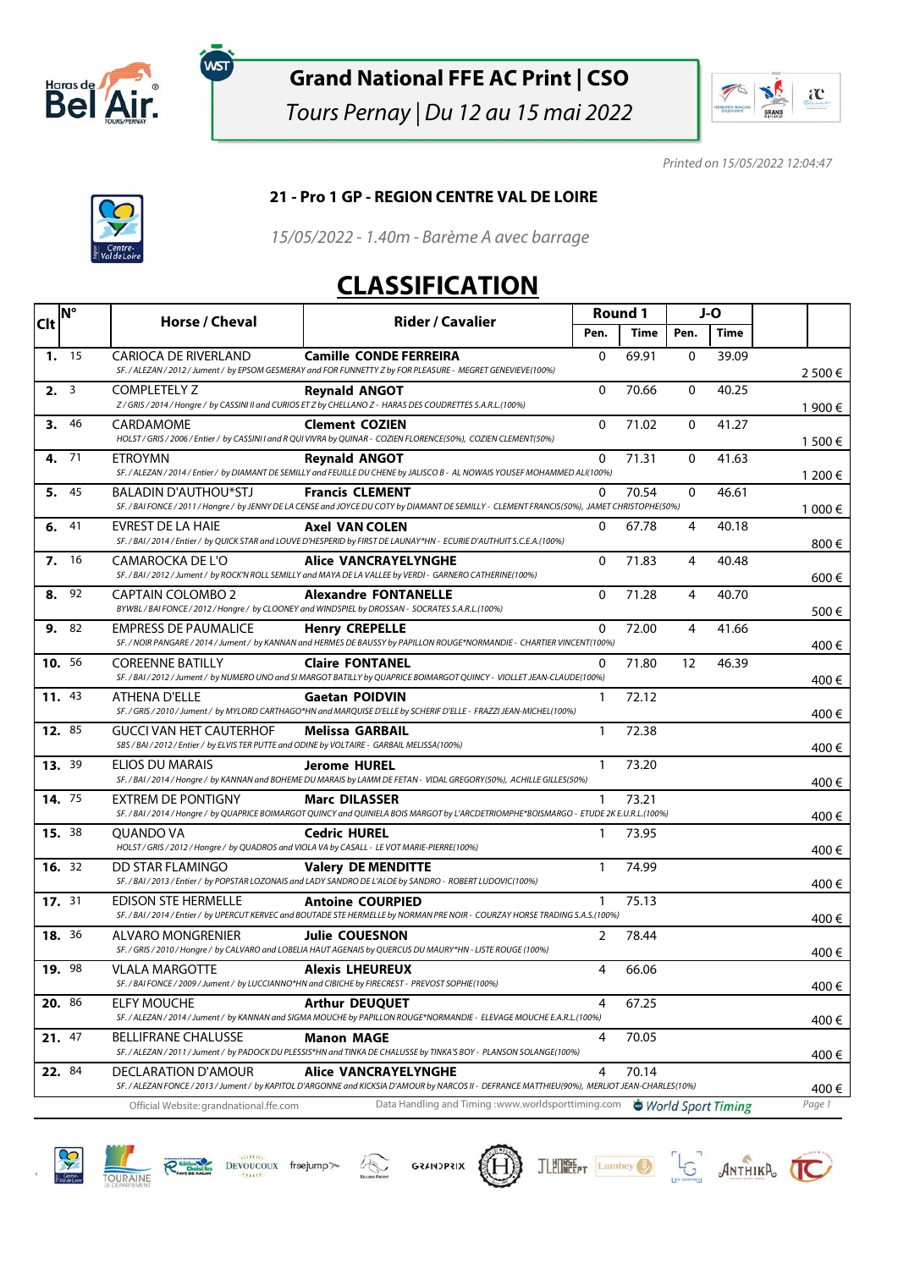

**WST** 

#### **Grand National FFE AC Print | CSO**

Tours Pernay | Du 12 au 15 mai 2022



Printed on 15/05/2022 12:04:47



#### **21 - Pro 1 GP - REGION CENTRE VAL DE LOIRE**

15/05/2022 - 1.40m - Barème A avec barrage

#### **CLASSIFICATION**

| <b>Clt</b>    | <b>N°</b> | Horse / Cheval                                                                                                                 | <b>Rider / Cavalier</b>                                                                                                                                                       | Round 1      |       | J-O          |       |         |
|---------------|-----------|--------------------------------------------------------------------------------------------------------------------------------|-------------------------------------------------------------------------------------------------------------------------------------------------------------------------------|--------------|-------|--------------|-------|---------|
|               |           |                                                                                                                                |                                                                                                                                                                               | Pen.         | Time  | Pen.         | Time  |         |
|               | 1. 15     | <b>CARIOCA DE RIVERLAND</b>                                                                                                    | <b>Camille CONDE FERREIRA</b><br>SF. / ALEZAN / 2012 / Jument / by EPSOM GESMERAY and FOR FUNNETTY Z by FOR PLEASURE - MEGRET GENEVIEVE(100%)                                 | $\Omega$     | 69.91 | $\mathbf{0}$ | 39.09 | 2 500 € |
|               | 2.3       | <b>COMPLETELY Z</b>                                                                                                            | <b>Revnald ANGOT</b><br>Z/GRIS/2014/Hongre/ by CASSINI II and CURIOS ET Z by CHELLANO Z - HARAS DES COUDRETTES S.A.R.L.(100%)                                                 | $\Omega$     | 70.66 | 0            | 40.25 | 1 900 € |
| 3.            | 46        | <b>CARDAMOME</b>                                                                                                               | <b>Clement COZIEN</b><br>HOLST / GRIS / 2006 / Entier / by CASSINI I and R QUI VIVRA by QUINAR - COZIEN FLORENCE(50%), COZIEN CLEMENT(50%)                                    | $\mathbf{0}$ | 71.02 | 0            | 41.27 | 1 500 € |
| 4.            | - 71      | <b>ETROYMN</b>                                                                                                                 | <b>Revnald ANGOT</b><br>SF. / ALEZAN / 2014 / Entier / by DIAMANT DE SEMILLY and FEUILLE DU CHENE by JALISCO B - AL NOWAIS YOUSEF MOHAMMED ALI(100%)                          | 0            | 71.31 | 0            | 41.63 | 1 200 € |
| 5.            | 45        | <b>BALADIN D'AUTHOU*STJ</b>                                                                                                    | <b>Francis CLEMENT</b><br>SF. / BAI FONCE / 2011 / Hongre / by JENNY DE LA CENSE and JOYCE DU COTY by DIAMANT DE SEMILLY - CLEMENT FRANCIS(50%), JAMET CHRISTOPHE(50%)        | 0            | 70.54 | $\mathbf{0}$ | 46.61 | 1 000 € |
| 6.            | 41        | EVREST DE LA HAIE                                                                                                              | <b>Axel VAN COLEN</b><br>SF. / BAI / 2014 / Entier / by QUICK STAR and LOUVE D'HESPERID by FIRST DE LAUNAY*HN - ECURIE D'AUTHUIT S.C.E.A. (100%)                              | 0            | 67.78 | 4            | 40.18 | 800€    |
| 7.            | 16        | CAMAROCKA DE L'O                                                                                                               | Alice VANCRAYELYNGHE<br>SF. / BAI / 2012 / Jument / by ROCK'N ROLL SEMILLY and MAYA DE LA VALLEE by VERDI - GARNERO CATHERINE(100%)                                           | $\mathbf{0}$ | 71.83 | 4            | 40.48 | 600€    |
| 8.            | 92        | CAPTAIN COLOMBO 2                                                                                                              | <b>Alexandre FONTANELLE</b><br>BYWBL / BAI FONCE / 2012 / Hongre / by CLOONEY and WINDSPIEL by DROSSAN - SOCRATES S.A.R.L.(100%)                                              | 0            | 71.28 | 4            | 40.70 | 500€    |
|               | 9. 82     | EMPRESS DE PAUMALICE                                                                                                           | <b>Henry CREPELLE</b><br>SF. / NOIR PANGARE / 2014 / Jument / by KANNAN and HERMES DE BAUSSY by PAPILLON ROUGE*NORMANDIE - CHARTIER VINCENT(100%)                             | $\mathbf{0}$ | 72.00 | 4            | 41.66 | 400€    |
| 10. 56        |           | <b>COREENNE BATILLY</b>                                                                                                        | <b>Claire FONTANEL</b><br>SF. / BAI / 2012 / Jument / by NUMERO UNO and SI MARGOT BATILLY by QUAPRICE BOIMARGOT QUINCY - VIOLLET JEAN-CLAUDE(100%)                            | 0            | 71.80 | 12           | 46.39 | 400€    |
| 11. 43        |           | ATHENA D'ELLE                                                                                                                  | <b>Gaetan POIDVIN</b><br>SF. / GRIS / 2010 / Jument / by MYLORD CARTHAGO*HN and MARQUISE D'ELLE by SCHERIF D'ELLE - FRAZZI JEAN-MICHEL(100%)                                  | $\mathbf{1}$ | 72.12 |              |       | 400€    |
| 12. 85        |           | <b>GUCCI VAN HET CAUTERHOF</b><br>SBS / BAI / 2012 / Entier / by ELVIS TER PUTTE and ODINE by VOLTAIRE - GARBAIL MELISSA(100%) | <b>Melissa GARBAIL</b>                                                                                                                                                        | $\mathbf{1}$ | 72.38 |              |       | 400€    |
|               | 13.39     | ELIOS DU MARAIS                                                                                                                | Jerome HUREL<br>SF. / BAI / 2014 / Hongre / by KANNAN and BOHEME DU MARAIS by LAMM DE FETAN - VIDAL GREGORY(50%), ACHILLE GILLES(50%)                                         | $\mathbf{1}$ | 73.20 |              |       | 400€    |
| 14. 75        |           | EXTREM DE PONTIGNY                                                                                                             | <b>Marc DILASSER</b><br>SF. / BAI / 2014 / Hongre / by QUAPRICE BOIMARGOT QUINCY and QUINIELA BOIS MARGOT by L'ARCDETRIOMPHE*BOISMARGO - ETUDE 2K E.U.R.L.(100%)              | 1            | 73.21 |              |       | 400€    |
| 15. 38        |           | <b>OUANDO VA</b><br>HOLST / GRIS / 2012 / Hongre / by QUADROS and VIOLA VA by CASALL - LE VOT MARIE-PIERRE(100%)               | <b>Cedric HUREL</b>                                                                                                                                                           | 1            | 73.95 |              |       | 400€    |
| <b>16.</b> 32 |           | DD STAR FLAMINGO                                                                                                               | <b>Valery DE MENDITTE</b><br>SF. / BAI / 2013 / Entier / by POPSTAR LOZONAIS and LADY SANDRO DE L'ALOE by SANDRO - ROBERT LUDOVIC(100%)                                       | 1            | 74.99 |              |       | 400€    |
| 17. 31        |           | <b>EDISON STE HERMELLE</b>                                                                                                     | <b>Antoine COURPIED</b><br>SF. / BAI / 2014 / Entier / by UPERCUT KERVEC and BOUTADE STE HERMELLE by NORMAN PRE NOIR - COURZAY HORSE TRADING S.A.S.(100%)                     | 1            | 75.13 |              |       | 400€    |
| 18. 36        |           | ALVARO MONGRENIER                                                                                                              | <b>Julie COUESNON</b><br>SF. / GRIS / 2010 / Hongre / by CALVARO and LOBELIA HAUT AGENAIS by QUERCUS DU MAURY*HN - LISTE ROUGE (100%)                                         | 2            | 78.44 |              |       | 400€    |
| 19. 98        |           | <b>VLALA MARGOTTE</b>                                                                                                          | <b>Alexis LHEUREUX</b><br>SF./BAI FONCE/2009/Jument/ by LUCCIANNO*HN and CIBICHE by FIRECREST - PREVOST SOPHIE(100%)                                                          | 4            | 66.06 |              |       | 400€    |
| 20. 86        |           | ELFY MOUCHE                                                                                                                    | <b>Arthur DEUQUET</b><br>SF. / ALEZAN / 2014 / Jument / by KANNAN and SIGMA MOUCHE by PAPILLON ROUGE*NORMANDIE - ELEVAGE MOUCHE E.A.R.L.(100%)                                | 4            | 67.25 |              |       | 400€    |
| 21. 47        |           | <b>BELLIFRANE CHALUSSE</b>                                                                                                     | <b>Manon MAGE</b><br>SF. / ALEZAN / 2011 / Jument / by PADOCK DU PLESSIS*HN and TINKA DE CHALUSSE by TINKA'S BOY - PLANSON SOLANGE(100%)                                      | 4            | 70.05 |              |       | 400€    |
| 22. 84        |           | DECLARATION D'AMOUR                                                                                                            | <b>Alice VANCRAYELYNGHE</b><br>SF. / ALEZAN FONCE / 2013 / Jument / by KAPITOL D'ARGONNE and KICKSIA D'AMOUR by NARCOS II - DEFRANCE MATTHIEU(90%), MERLIOT JEAN-CHARLES(10%) | 4            | 70.14 |              |       | 400€    |
|               |           | Official Website: grandnational.ffe.com                                                                                        | Data Handling and Timing :www.worldsporttiming.com  Surf Sport Timing                                                                                                         |              |       |              |       | Page 1  |











JLEUREEPT Lambey J. JANTHIKA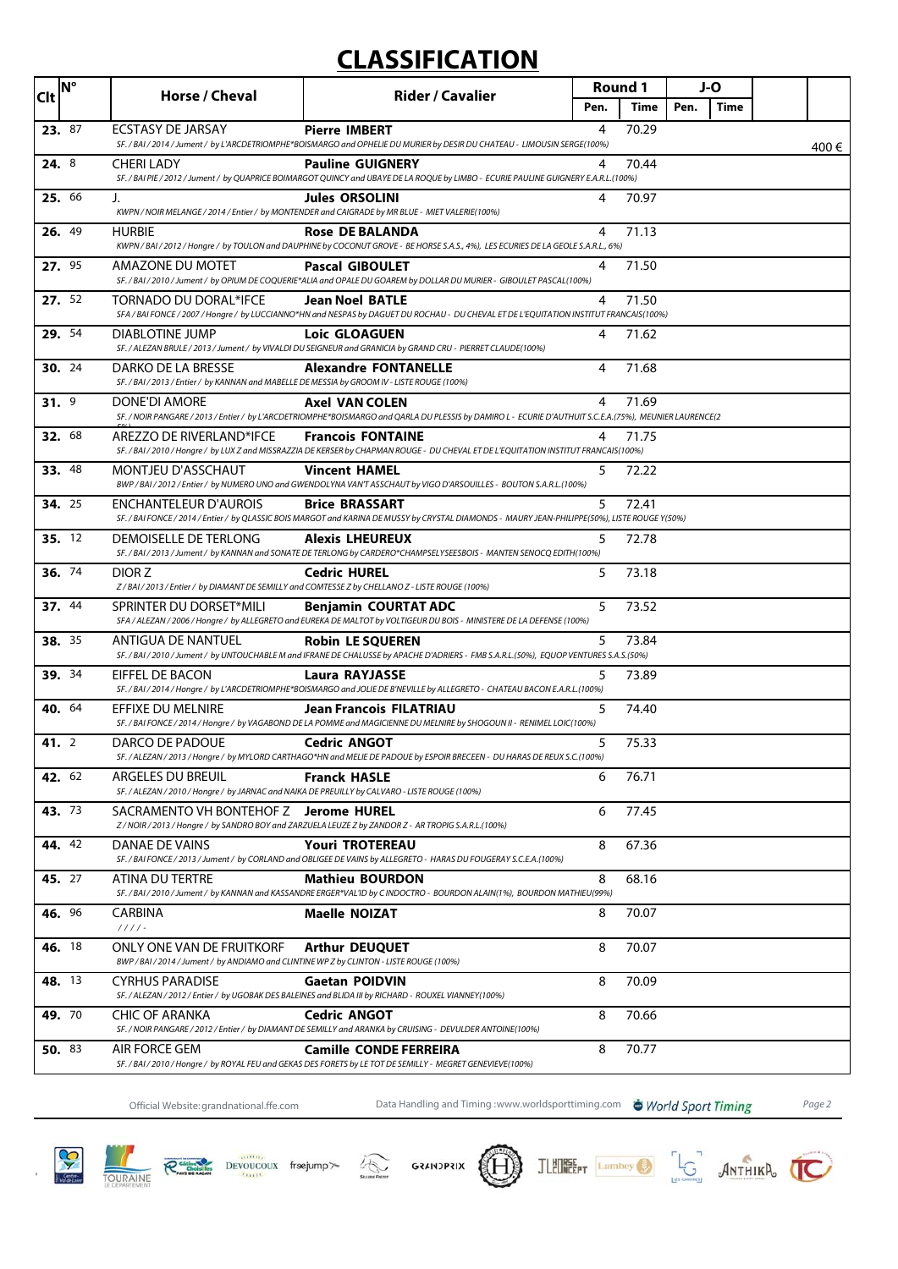# **CLASSIFICATION**

| <b>Clt</b>    | <b>N°</b> | Horse / Cheval                                                                                                      | <b>Rider / Cavalier</b>                                                                                                                                                          | Round 1 |       | J-O  |             |      |
|---------------|-----------|---------------------------------------------------------------------------------------------------------------------|----------------------------------------------------------------------------------------------------------------------------------------------------------------------------------|---------|-------|------|-------------|------|
|               |           |                                                                                                                     |                                                                                                                                                                                  | Pen.    | Time  | Pen. | <b>Time</b> |      |
| 23. 87        |           | <b>ECSTASY DE JARSAY</b>                                                                                            | <b>Pierre IMBERT</b><br>SF. / BAI / 2014 / Jument / by L'ARCDETRIOMPHE*BOISMARGO and OPHELIE DU MURIER by DESIR DU CHATEAU - LIMOUSIN SERGE(100%)                                | 4       | 70.29 |      |             | 400€ |
| 24. 8         |           | CHERI LADY                                                                                                          | <b>Pauline GUIGNERY</b><br>SF. / BAI PIE / 2012 / Jument / by QUAPRICE BOIMARGOT QUINCY and UBAYE DE LA ROQUE by LIMBO - ECURIE PAULINE GUIGNERY E.A.R.L.(100%)                  | 4       | 70.44 |      |             |      |
| 25. 66        |           | J.                                                                                                                  | <b>Jules ORSOLINI</b><br>KWPN / NOIR MELANGE / 2014 / Entier / by MONTENDER and CAIGRADE by MR BLUE - MIET VALERIE(100%)                                                         | 4       | 70.97 |      |             |      |
| 26. 49        |           | <b>HURBIE</b>                                                                                                       | <b>Rose DE BALANDA</b><br>KWPN / BAI / 2012 / Hongre / by TOULON and DAUPHINE by COCONUT GROVE - BE HORSE S.A.S., 4%), LES ECURIES DE LA GEOLE S.A.R.L., 6%)                     | 4       | 71.13 |      |             |      |
| 27. 95        |           | AMAZONE DU MOTET                                                                                                    | <b>Pascal GIBOULET</b><br>SF. / BAI / 2010 / Jument / by OPIUM DE COQUERIE*ALIA and OPALE DU GOAREM by DOLLAR DU MURIER - GIBOULET PASCAL(100%)                                  | 4       | 71.50 |      |             |      |
| 27. 52        |           | TORNADO DU DORAL*IFCE                                                                                               | <b>Jean Noel BATLE</b><br>SFA / BAI FONCE / 2007 / Hongre / by LUCCIANNO*HN and NESPAS by DAGUET DU ROCHAU - DU CHEVAL ET DE L'EQUITATION INSTITUT FRANCAIS(100%)                | 4       | 71.50 |      |             |      |
| 29. 54        |           | DIABLOTINE JUMP                                                                                                     | <b>Loic GLOAGUEN</b><br>SF. / ALEZAN BRULE / 2013 / Jument / by VIVALDI DU SEIGNEUR and GRANICIA by GRAND CRU - PIERRET CLAUDE(100%)                                             | 4       | 71.62 |      |             |      |
| <b>30.</b> 24 |           | DARKO DE LA BRESSE<br>SF. / BAI / 2013 / Entier / by KANNAN and MABELLE DE MESSIA by GROOM IV - LISTE ROUGE (100%)  | <b>Alexandre FONTANELLE</b>                                                                                                                                                      | 4       | 71.68 |      |             |      |
| 31.9          |           | DONE'DI AMORE                                                                                                       | <b>Axel VAN COLEN</b><br>SF. / NOIR PANGARE / 2013 / Entier / by L'ARCDETRIOMPHE*BOISMARGO and QARLA DU PLESSIS by DAMIRO L - ECURIE D'AUTHUIT S.C.E.A.(75%), MEUNIER LAURENCE(2 | 4       | 71.69 |      |             |      |
| 32. 68        |           | AREZZO DE RIVERLAND*IFCE                                                                                            | <b>Francois FONTAINE</b><br>SF. / BAI / 2010 / Hongre / by LUX Z and MISSRAZZIA DE KERSER by CHAPMAN ROUGE - DU CHEVAL ET DE L'EQUITATION INSTITUT FRANCAIS(100%)                | 4       | 71.75 |      |             |      |
| 33. 48        |           | MONTJEU D'ASSCHAUT                                                                                                  | <b>Vincent HAMEL</b><br>BWP / BAI / 2012 / Entier / by NUMERO UNO and GWENDOLYNA VAN'T ASSCHAUT by VIGO D'ARSOUILLES - BOUTON S.A.R.L.(100%)                                     | 5       | 72.22 |      |             |      |
| <b>34.</b> 25 |           | ENCHANTELEUR D'AUROIS                                                                                               | <b>Brice BRASSART</b><br>SF. / BAI FONCE / 2014 / Entier / by QLASSIC BOIS MARGOT and KARINA DE MUSSY by CRYSTAL DIAMONDS - MAURY JEAN-PHILIPPE(50%), LISTE ROUGE Y(50%)         | 5       | 72.41 |      |             |      |
| 35. 12        |           | DEMOISELLE DE TERLONG                                                                                               | <b>Alexis LHEUREUX</b><br>SF. / BAI / 2013 / Jument / by KANNAN and SONATE DE TERLONG by CARDERO*CHAMPSELYSEESBOIS - MANTEN SENOCQ EDITH(100%)                                   | 5       | 72.78 |      |             |      |
| 36. 74        |           | DIOR Z<br>Z/BAI/2013/Entier/ by DIAMANT DE SEMILLY and COMTESSE Z by CHELLANO Z - LISTE ROUGE (100%)                | <b>Cedric HUREL</b>                                                                                                                                                              | 5       | 73.18 |      |             |      |
| 37. 44        |           | SPRINTER DU DORSET*MILI                                                                                             | <b>Benjamin COURTAT ADC</b><br>SFA / ALEZAN / 2006 / Hongre / by ALLEGRETO and EUREKA DE MALTOT by VOLTIGEUR DU BOIS - MINISTERE DE LA DEFENSE (100%)                            | 5       | 73.52 |      |             |      |
| <b>38.</b> 35 |           | ANTIGUA DE NANTUEL                                                                                                  | <b>Robin LE SQUEREN</b><br>SF. / BAI / 2010 / Jument / by UNTOUCHABLE M and IFRANE DE CHALUSSE by APACHE D'ADRIERS - FMB S.A.R.L.(50%), EQUOP VENTURES S.A.S.(50%)               | 5       | 73.84 |      |             |      |
| <b>39.</b> 34 |           | EIFFEL DE BACON                                                                                                     | <b>Laura RAYJASSE</b><br>SF. / BAI / 2014 / Hongre / by L'ARCDETRIOMPHE*BOISMARGO and JOLIE DE B'NEVILLE by ALLEGRETO - CHATEAU BACON E.A.R.L.(100%)                             | 5       | 73.89 |      |             |      |
| 40. 64        |           | EFFIXE DU MELNIRE                                                                                                   | Jean Francois FILATRIAU<br>SF. / BAI FONCE / 2014 / Hongre / by VAGABOND DE LA POMME and MAGICIENNE DU MELNIRE by SHOGOUN II - RENIMEL LOIC(100%)                                | 5       | 74.40 |      |             |      |
| <b>41.</b> 2  |           | DARCO DE PADOUE                                                                                                     | <b>Cedric ANGOT</b><br>SF. / ALEZAN / 2013 / Hongre / by MYLORD CARTHAGO*HN and MELIE DE PADOUE by ESPOIR BRECEEN - DU HARAS DE REUX S.C. (100%)                                 | 5       | 75.33 |      |             |      |
| 42. 62        |           | ARGELES DU BREUIL<br>SF. / ALEZAN / 2010 / Hongre / by JARNAC and NAIKA DE PREUILLY by CALVARO - LISTE ROUGE (100%) | <b>Franck HASLE</b>                                                                                                                                                              | 6       | 76.71 |      |             |      |
| 43. 73        |           | SACRAMENTO VH BONTEHOF Z Jerome HUREL                                                                               | Z/NOIR/2013/Hongre/ by SANDRO BOY and ZARZUELA LEUZE Z by ZANDOR Z - AR TROPIG S.A.R.L.(100%)                                                                                    | 6       | 77.45 |      |             |      |
| 44. 42        |           | DANAE DE VAINS                                                                                                      | <b>Youri TROTEREAU</b><br>SF. / BAI FONCE / 2013 / Jument / by CORLAND and OBLIGEE DE VAINS by ALLEGRETO - HARAS DU FOUGERAY S.C.E.A.(100%)                                      | 8       | 67.36 |      |             |      |
| 45. 27        |           | ATINA DU TERTRE                                                                                                     | <b>Mathieu BOURDON</b><br>SF. / BAI / 2010 / Jument / by KANNAN and KASSANDRE ERGER*VAL'ID by C INDOCTRO - BOURDON ALAIN(1%), BOURDON MATHIEU(99%)                               | 8       | 68.16 |      |             |      |
| <b>46.</b> 96 |           | CARBINA<br>$1111 -$                                                                                                 | <b>Maelle NOIZAT</b>                                                                                                                                                             | 8       | 70.07 |      |             |      |
| 46. 18        |           | ONLY ONE VAN DE FRUITKORF<br>BWP/BAI/2014/Jument/ by ANDIAMO and CLINTINE WP Z by CLINTON - LISTE ROUGE (100%)      | <b>Arthur DEUQUET</b>                                                                                                                                                            | 8       | 70.07 |      |             |      |
| 48. 13        |           | <b>CYRHUS PARADISE</b>                                                                                              | <b>Gaetan POIDVIN</b><br>SF./ALEZAN/2012/Entier/ by UGOBAK DES BALEINES and BLIDA III by RICHARD - ROUXEL VIANNEY(100%)                                                          | 8       | 70.09 |      |             |      |
| 49. 70        |           | <b>CHIC OF ARANKA</b>                                                                                               | <b>Cedric ANGOT</b><br>SF. / NOIR PANGARE / 2012 / Entier / by DIAMANT DE SEMILLY and ARANKA by CRUISING - DEVULDER ANTOINE(100%)                                                | 8       | 70.66 |      |             |      |
| 50. 83        |           | AIR FORCE GEM                                                                                                       | <b>Camille CONDE FERREIRA</b><br>SF./BAI/2010/Hongre/by ROYAL FEU and GEKAS DES FORETS by LETOT DE SEMILLY - MEGRET GENEVIEVE(100%)                                              | 8       | 70.77 |      |             |      |

Official Website:grandnational.ffe.com Data Handling and Timing :www.worldsporttiming.com World Sport Timing Page 2













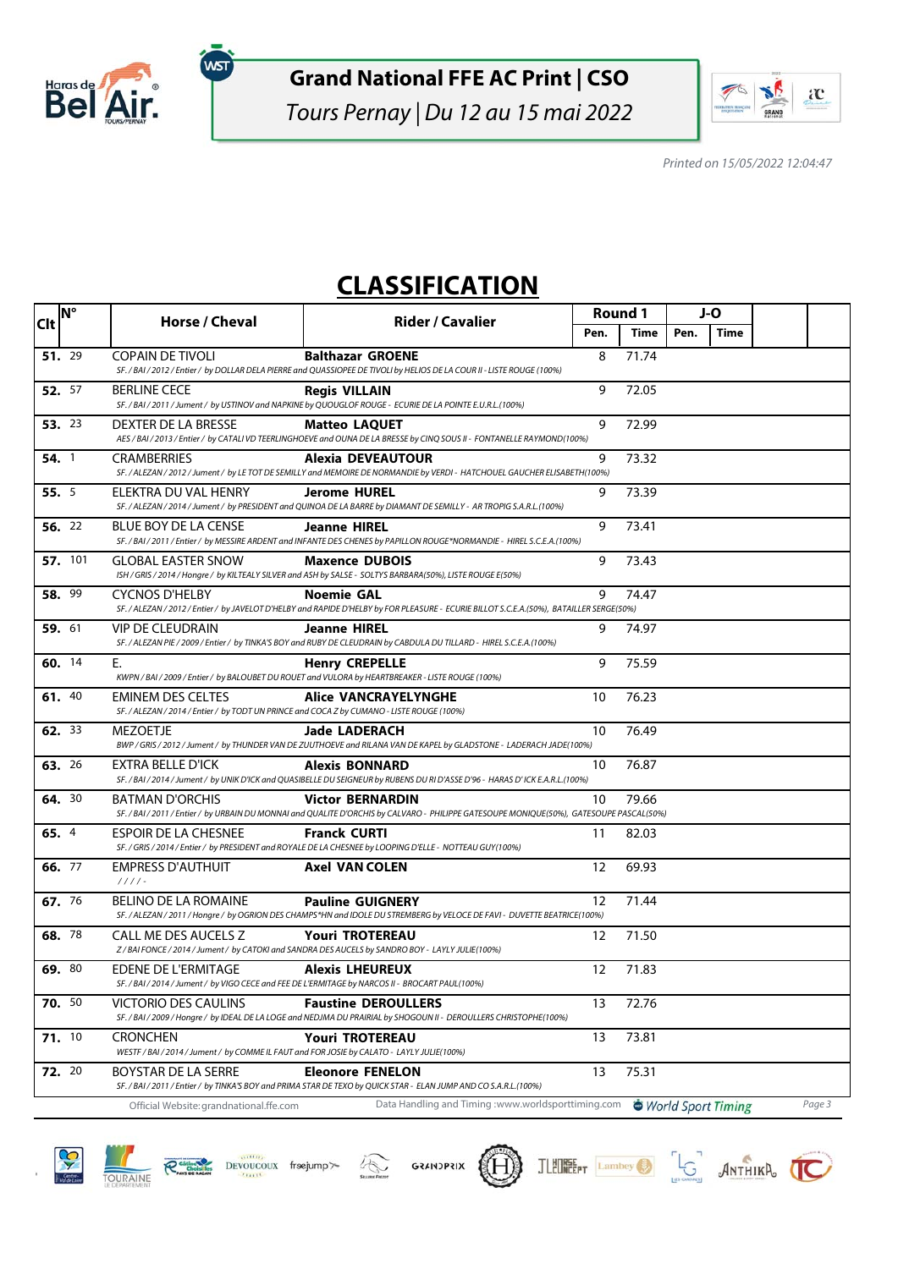

(WST

Tours Pernay | Du 12 au 15 mai 2022



Printed on 15/05/2022 12:04:47

## **CLASSIFICATION**

| <b>Clt</b> | <b>IN°</b>    | Horse / Cheval                                                                                                          | <b>Rider / Cavalier</b>                                                                                                                                             | <b>Round 1</b> |       | J-O  |                    |        |
|------------|---------------|-------------------------------------------------------------------------------------------------------------------------|---------------------------------------------------------------------------------------------------------------------------------------------------------------------|----------------|-------|------|--------------------|--------|
|            |               |                                                                                                                         |                                                                                                                                                                     | Pen.           | Time  | Pen. | <b>Time</b>        |        |
|            | 51. 29        | <b>COPAIN DE TIVOLI</b>                                                                                                 | <b>Balthazar GROENE</b><br>SF. / BAI / 2012 / Entier / by DOLLAR DELA PIERRE and QUASSIOPEE DE TIVOLI by HELIOS DE LA COUR II - LISTE ROUGE (100%)                  | 8              | 71.74 |      |                    |        |
|            | 52. 57        | <b>BERLINE CECE</b>                                                                                                     | Regis VILLAIN<br>SF. / BAI / 2011 / Jument / by USTINOV and NAPKINE by QUOUGLOF ROUGE - ECURIE DE LA POINTE E.U.R.L.(100%)                                          | 9              | 72.05 |      |                    |        |
|            | 53. 23        | DEXTER DE LA BRESSE                                                                                                     | <b>Matteo LAQUET</b><br>AES / BAI/2013 / Entier / by CATALI VD TEERLINGHOEVE and OUNA DE LA BRESSE by CINQ SOUS II - FONTANELLE RAYMOND(100%)                       | 9              | 72.99 |      |                    |        |
|            | 54.1          | <b>CRAMBERRIES</b>                                                                                                      | Alexia DEVEAUTOUR<br>SF. / ALEZAN / 2012 / Jument / by LE TOT DE SEMILLY and MEMOIRE DE NORMANDIE by VERDI - HATCHOUEL GAUCHER ELISABETH(100%)                      | 9              | 73.32 |      |                    |        |
|            | 55. 5         | ELEKTRA DU VAL HENRY                                                                                                    | <b>Jerome HUREL</b><br>SF. / ALEZAN / 2014 / Jument / by PRESIDENT and QUINOA DE LA BARRE by DIAMANT DE SEMILLY - AR TROPIG S.A.R.L.(100%)                          | 9              | 73.39 |      |                    |        |
|            | 56. 22        | <b>BLUE BOY DE LA CENSE</b>                                                                                             | <b>Jeanne HIREL</b><br>SF. / BAI / 2011 / Entier / by MESSIRE ARDENT and INFANTE DES CHENES by PAPILLON ROUGE*NORMANDIE - HIREL S.C.E.A.(100%)                      | 9              | 73.41 |      |                    |        |
|            | 57. 101       | <b>GLOBAL EASTER SNOW</b>                                                                                               | <b>Maxence DUBOIS</b><br>ISH / GRIS / 2014 / Hongre / by KILTEALY SILVER and ASH by SALSE - SOLTYS BARBARA(50%), LISTE ROUGE E(50%)                                 | 9              | 73.43 |      |                    |        |
|            | 58. 99        | <b>CYCNOS D'HELBY</b>                                                                                                   | <b>Noemie GAL</b><br>SF. / ALEZAN / 2012 / Entier / by JAVELOT D'HELBY and RAPIDE D'HELBY by FOR PLEASURE - ECURIE BILLOT S.C.E.A.(50%), BATAILLER SERGE(50%)       | 9              | 74.47 |      |                    |        |
|            | 59. 61        | <b>VIP DE CLEUDRAIN</b>                                                                                                 | <b>Jeanne HIREL</b><br>SF. / ALEZAN PIE / 2009 / Entier / by TINKA'S BOY and RUBY DE CLEUDRAIN by CABDULA DU TILLARD - HIREL S.C.E.A.(100%)                         | 9              | 74.97 |      |                    |        |
|            | 60. 14        | Е.                                                                                                                      | <b>Henry CREPELLE</b><br>KWPN / BAI / 2009 / Entier / by BALOUBET DU ROUET and VULORA by HEARTBREAKER - LISTE ROUGE (100%)                                          | 9              | 75.59 |      |                    |        |
|            | 61. 40        | <b>EMINEM DES CELTES</b><br>SF./ALEZAN/2014/Entier/ by TODT UN PRINCE and COCA Z by CUMANO - LISTE ROUGE (100%)         | <b>Alice VANCRAYELYNGHE</b>                                                                                                                                         | 10             | 76.23 |      |                    |        |
|            | <b>62.</b> 33 | <b>MEZOETJE</b>                                                                                                         | <b>Jade LADERACH</b><br>BWP / GRIS / 2012 / Jument / by THUNDER VAN DE ZUUTHOEVE and RILANA VAN DE KAPEL by GLADSTONE - LADERACH JADE(100%)                         | 10             | 76.49 |      |                    |        |
|            | 63. 26        | EXTRA BELLE D'ICK                                                                                                       | <b>Alexis BONNARD</b><br>SF. / BAI / 2014 / Jument / by UNIK D'ICK and QUASIBELLE DU SEIGNEUR by RUBENS DU RI D'ASSE D'96 - HARAS D'ICK E.A.R.L. (100%)             | 10             | 76.87 |      |                    |        |
|            | 64. 30        | <b>BATMAN D'ORCHIS</b>                                                                                                  | <b>Victor BERNARDIN</b><br>SF. / BAI / 2011 / Entier / by URBAIN DU MONNAI and QUALITE D'ORCHIS by CALVARO - PHILIPPE GATESOUPE MONIQUE(50%), GATESOUPE PASCAL(50%) | 10             | 79.66 |      |                    |        |
|            | 65. 4         | <b>ESPOIR DE LA CHESNEE</b>                                                                                             | <b>Franck CURTI</b><br>SF. / GRIS / 2014 / Entier / by PRESIDENT and ROYALE DE LA CHESNEE by LOOPING D'ELLE - NOTTEAU GUY(100%)                                     | 11             | 82.03 |      |                    |        |
|            | 66. 77        | <b>EMPRESS D'AUTHUIT</b><br>$1111 -$                                                                                    | <b>Axel VAN COLEN</b>                                                                                                                                               | 12             | 69.93 |      |                    |        |
|            | 67. 76        | BELINO DE LA ROMAINE                                                                                                    | <b>Pauline GUIGNERY</b><br>SF. / ALEZAN / 2011 / Hongre / by OGRION DES CHAMPS*HN and IDOLE DU STREMBERG by VELOCE DE FAVI - DUVETTE BEATRICE(100%)                 | 12             | 71.44 |      |                    |        |
|            | 68. 78        | CALL ME DES AUCELS Z                                                                                                    | <b>Youri TROTEREAU</b><br>Z/BAIFONCE/2014/Jument/ by CATOKI and SANDRA DES AUCELS by SANDRO BOY - LAYLY JULIE(100%)                                                 | 12             | 71.50 |      |                    |        |
|            | 69. 80        | <b>EDENE DE L'ERMITAGE</b><br>SF./BAI/2014/Jument/ by VIGO CECE and FEE DE L'ERMITAGE by NARCOS II - BROCART PAUL(100%) | <b>Alexis LHEUREUX</b>                                                                                                                                              | 12             | 71.83 |      |                    |        |
|            | 70. 50        | VICTORIO DES CAULINS                                                                                                    | <b>Faustine DEROULLERS</b><br>SF. / BAI / 2009 / Hongre / by IDEAL DE LA LOGE and NEDJMA DU PRAIRIAL by SHOGOUN II - DEROULLERS CHRISTOPHE(100%)                    | 13             | 72.76 |      |                    |        |
|            | 71.10         | <b>CRONCHEN</b><br>WESTF / BAI / 2014 / Jument / by COMME IL FAUT and FOR JOSIE by CALATO - LAYLY JULIE(100%)           | <b>Youri TROTEREAU</b>                                                                                                                                              | 13             | 73.81 |      |                    |        |
|            | 72. 20        | BOYSTAR DE LA SERRE                                                                                                     | <b>Eleonore FENELON</b><br>SF. / BAI / 2011 / Entier / by TINKA'S BOY and PRIMA STAR DE TEXO by QUICK STAR - ELAN JUMP AND CO S.A.R.L.(100%)                        | 13             | 75.31 |      |                    |        |
|            |               | Official Website: grandnational.ffe.com                                                                                 | Data Handling and Timing :www.worldsporttiming.com                                                                                                                  |                |       |      | World Sport Timing | Page 3 |









JLEUNEEPT Lambey John ANTHIKA